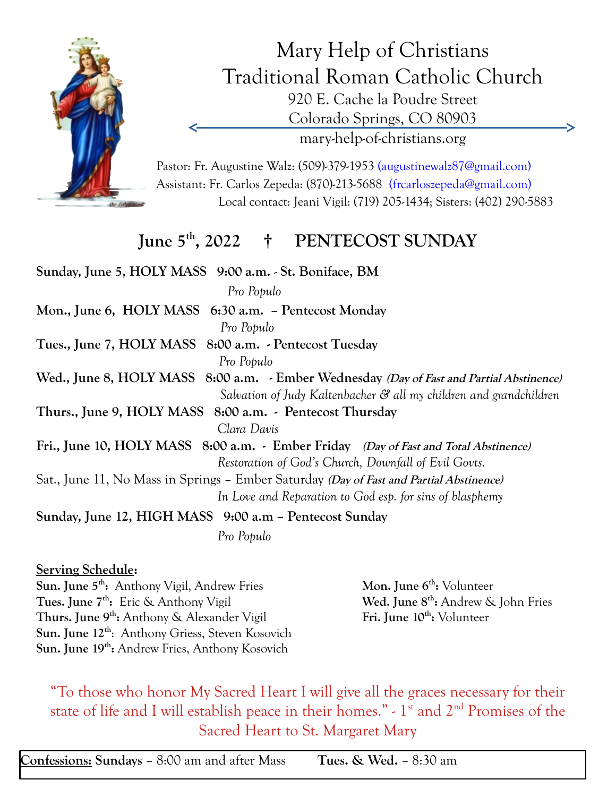

Mary Help of Christians Traditional Roman Catholic Church 920 E. Cache la Poudre Street Colorado Springs, CO 80903 mary-help-of-christians.org

Pastor: Fr. Augustine Walz: (509)-379-1953 (augustinewalz87@gmail.com) Assistant: Fr. Carlos Zepeda: (870)-213-5688 (frcarloszepeda@gmail.com) Local contact: Jeani Vigil: (719) 205-1434; Sisters: (402) 290-5883

## **June 5th , 2022 † PENTECOST SUNDAY**

**Sunday, June 5, HOLY MASS 9:00 a.m.** - **St. Boniface, BM**  *Pro Populo* **Mon., June 6, HOLY MASS 6:30 a.m. – Pentecost Monday** *Pro Populo* **Tues., June 7, HOLY MASS 8:00 a.m. - Pentecost Tuesday** *Pro Populo* Wed., June 8, HOLY MASS 8:00 a.m. - Ember Wednesday *(Day of Fast and Partial Abstinence) Salvation of Judy Kaltenbacher & all my children and grandchildren* **Thurs., June 9, HOLY MASS 8:00 a.m. - Pentecost Thursday** *Clara Davis* **Fri., June 10, HOLY MASS 8:00 a.m. - Ember Friday (Day of Fast and Total Abstinence)** *Restoration of God's Church, Downfall of Evil Govts.* Sat., June 11, No Mass in Springs – Ember Saturday **(Day of Fast and Partial Abstinence)** *In Love and Reparation to God esp. for sins of blasphemy* **Sunday, June 12, HIGH MASS 9:00 a.m – Pentecost Sunday** *Pro Populo*

## **Serving Schedule:**

**Sun. June 5th :** Anthony Vigil, Andrew Fries **Mon. June 6th** Mon. June 6<sup>th</sup>: Volunteer **Tues. June 7th :** Eric & Anthony Vigil **Wed. June 8th** Wed. June 8<sup>th</sup>: Andrew & John Fries **Thurs. June 9th :** Anthony & Alexander Vigil **Fri. June 10th** Fri. June 10<sup>th</sup>: Volunteer **Sun. June 12th**: Anthony Griess, Steven Kosovich **Sun. June 19th :** Andrew Fries, Anthony Kosovich

"To those who honor My Sacred Heart I will give all the graces necessary for their state of life and I will establish peace in their homes." - 1<sup>st</sup> and 2<sup>nd</sup> Promises of the Sacred Heart to St. Margaret Mary

**Confessions: Sundays** – 8:00 am and after Mass **Tues. & Wed.** – 8:30 am